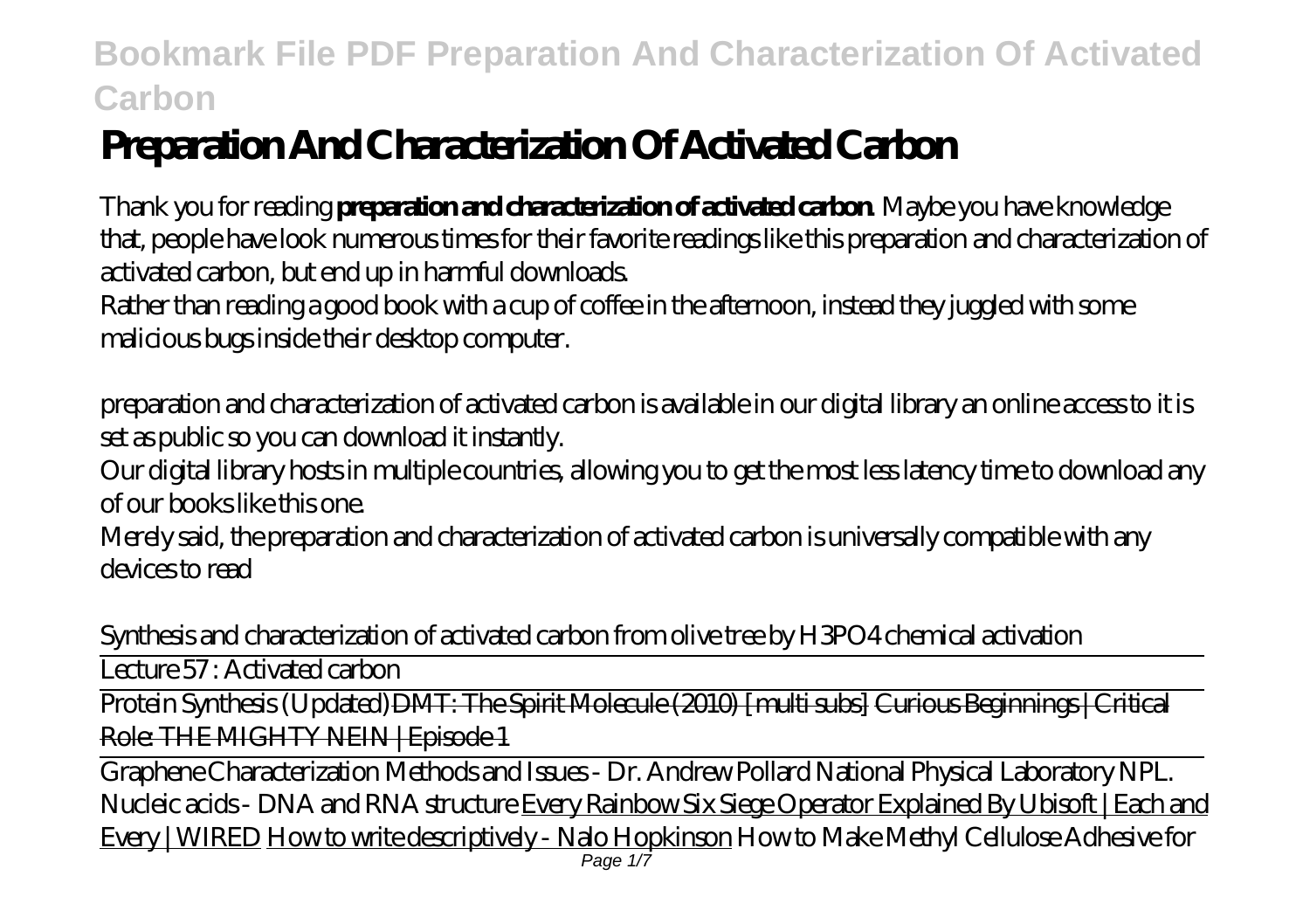# **Preparation And Characterization Of Activated Carbon**

Thank you for reading **preparation and characterization of activated carbon**. Maybe you have knowledge that, people have look numerous times for their favorite readings like this preparation and characterization of activated carbon, but end up in harmful downloads.

Rather than reading a good book with a cup of coffee in the afternoon, instead they juggled with some malicious bugs inside their desktop computer.

preparation and characterization of activated carbon is available in our digital library an online access to it is set as public so you can download it instantly.

Our digital library hosts in multiple countries, allowing you to get the most less latency time to download any of our books like this one.

Merely said, the preparation and characterization of activated carbon is universally compatible with any devices to read

*Synthesis and characterization of activated carbon from olive tree by H3PO4 chemical activation*

Lecture 57 : Activated carbon

Protein Synthesis (Updated) DMT: The Spirit Molecule (2010) [multi subs] Curious Beginnings | Critical Role: THE MIGHTY NEIN | Episode 1

Graphene Characterization Methods and Issues - Dr. Andrew Pollard National Physical Laboratory NPL. Nucleic acids - DNA and RNA structure Every Rainbow Six Siege Operator Explained By Ubisoft | Each and Every | WIRED How to write descriptively - Nalo Hopkinson *How to Make Methyl Cellulose Adhesive for* Page 1/7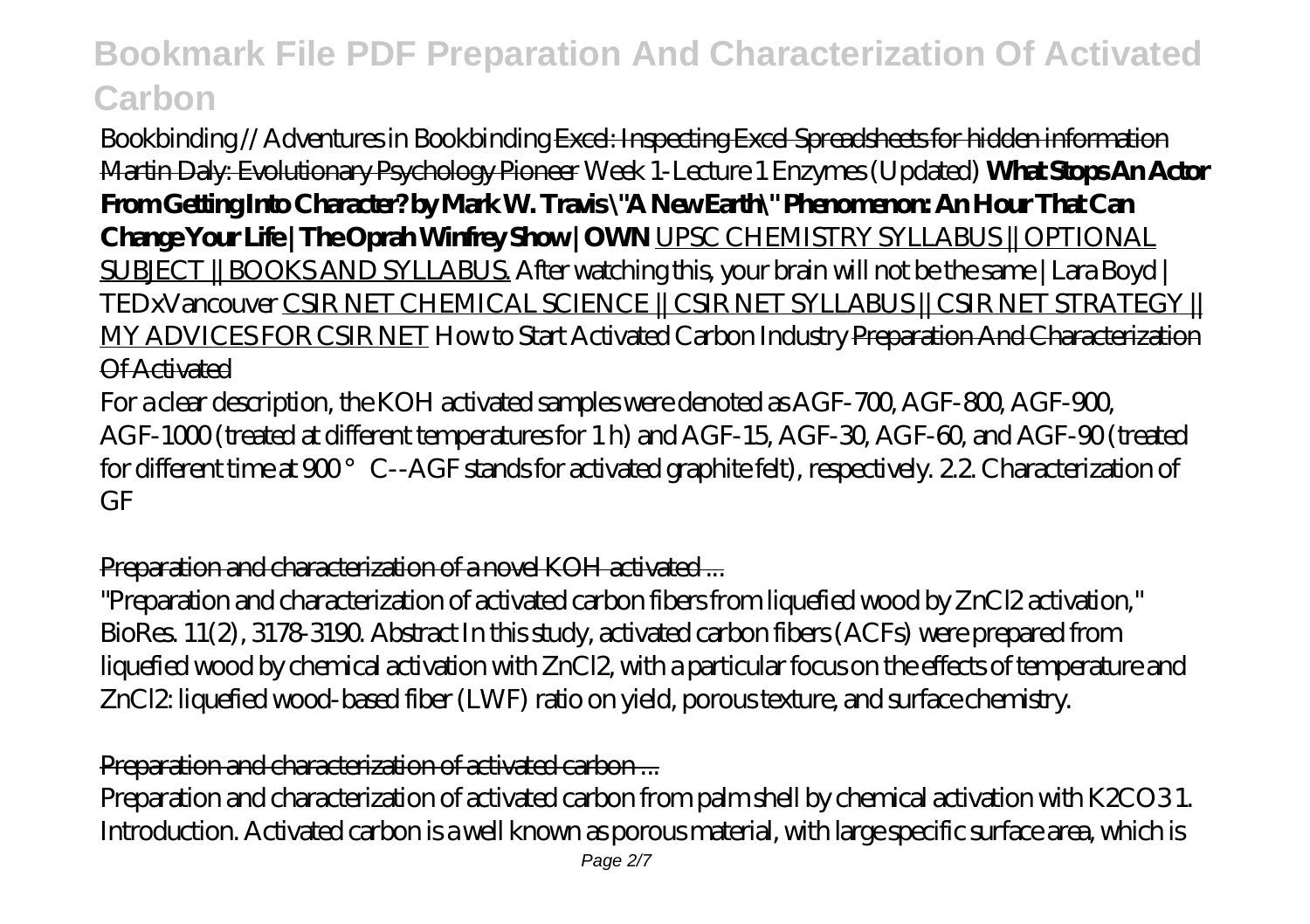*Bookbinding // Adventures in Bookbinding* Excel: Inspecting Excel Spreadsheets for hidden information Martin Daly: Evolutionary Psychology Pioneer *Week 1-Lecture 1 Enzymes (Updated)* **What Stops An Actor From Getting Into Character? by Mark W. Travis \"A New Earth\" Phenomenon: An Hour That Can Change Your Life | The Oprah Winfrey Show | OWN** UPSC CHEMISTRY SYLLABUS || OPTIONAL SUBJECT || BOOKS AND SYLLABUS. After watching this, your brain will not be the same | Lara Boyd | TEDxVancouver CSIR NET CHEMICAL SCIENCE || CSIR NET SYLLABUS || CSIR NET STRATEGY || MY ADVICES FOR CSIR NET How to Start Activated Carbon Industry Preparation And Characterization Of Activated

For a clear description, the KOH activated samples were denoted as AGF-700, AGF-800, AGF-900, AGF-1000 (treated at different temperatures for 1 h) and AGF-15, AGF-30, AGF-60, and AGF-90 (treated for different time at 900° C--AGF stands for activated graphite felt), respectively. 2.2. Characterization of GF

#### Preparation and characterization of a novel KOH activated ...

"Preparation and characterization of activated carbon fibers from liquefied wood by ZnCl2 activation," BioRes. 11(2), 3178-3190. Abstract In this study, activated carbon fibers (ACFs) were prepared from liquefied wood by chemical activation with ZnCl2, with a particular focus on the effects of temperature and ZnCl2: liquefied wood-based fiber (LWF) ratio on yield, porous texture, and surface chemistry.

#### Preparation and characterization of activated carbon ...

Preparation and characterization of activated carbon from palm shell by chemical activation with K2CO3 1. Introduction. Activated carbon is a well known as porous material, with large specific surface area, which is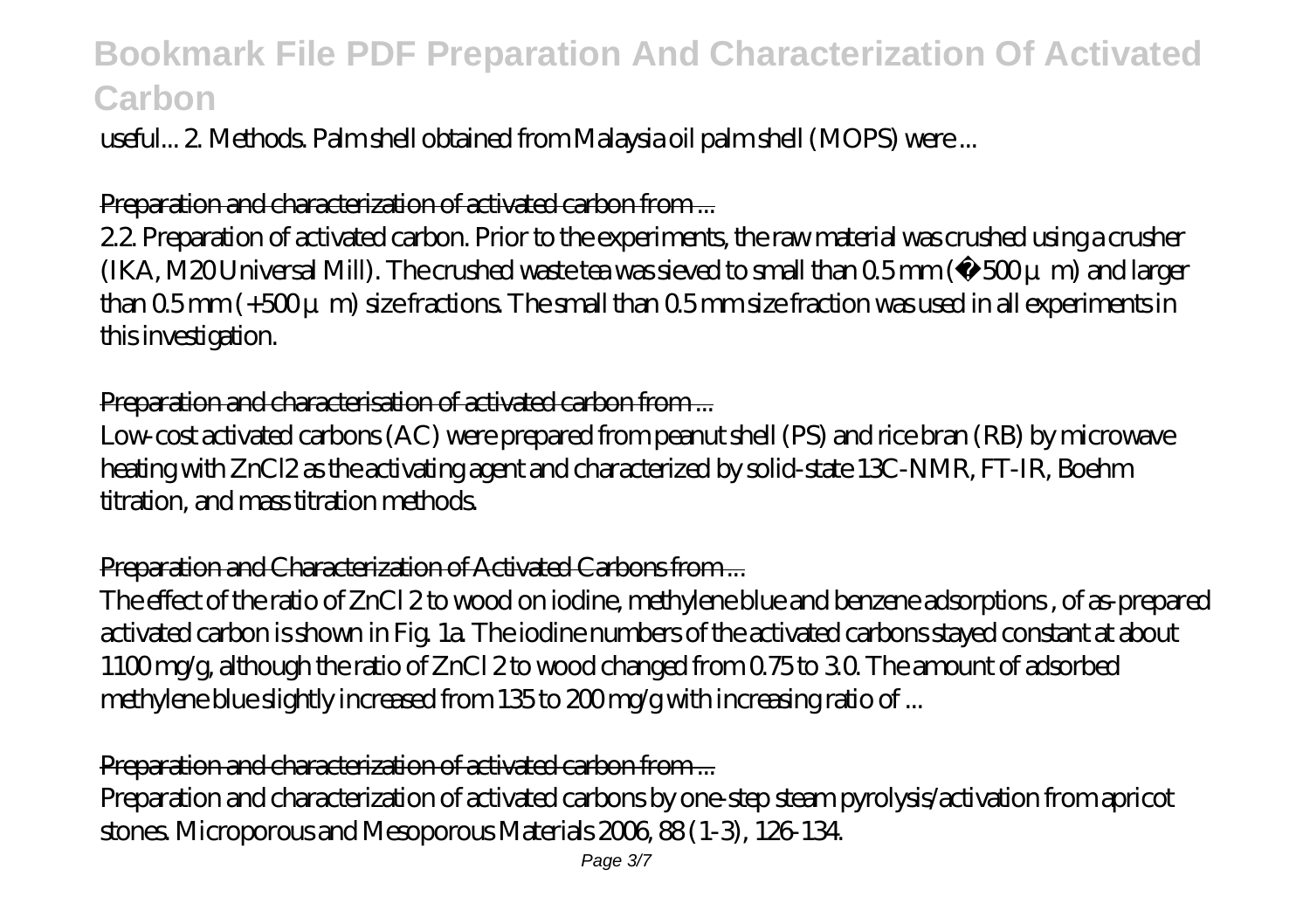useful... 2. Methods. Palm shell obtained from Malaysia oil palm shell (MOPS) were ...

### Preparation and characterization of activated carbon from ...

2.2. Preparation of activated carbon. Prior to the experiments, the raw material was crushed using a crusher (IKA, M20 Universal Mill). The crushed waste tea was sieved to small than  $0.5$  mm ( $-500\mu$  m) and larger than  $0.5$  mm (+ $500\mu$  m) size fractions. The small than  $0.5$  mm size fraction was used in all experiments in this investigation.

## Preparation and characterisation of activated carbon from ...

Low-cost activated carbons (AC) were prepared from peanut shell (PS) and rice bran (RB) by microwave heating with ZnCl2 as the activating agent and characterized by solid-state 13C-NMR, FT-IR, Boehm titration, and mass titration methods.

## Preparation and Characterization of Activated Carbons from ...

The effect of the ratio of ZnCl 2 to wood on iodine, methylene blue and benzene adsorptions , of as-prepared activated carbon is shown in Fig. 1a. The iodine numbers of the activated carbons stayed constant at about 1100 mg/g, although the ratio of ZnCl 2 to wood changed from 0.75 to 3.0. The amount of adsorbed methylene blue slightly increased from 135 to 200 mg/g with increasing ratio of ...

#### Preparation and characterization of activated carbon from ...

Preparation and characterization of activated carbons by one-step steam pyrolysis/activation from apricot stones. Microporous and Mesoporous Materials 2006, 88 (1-3), 126-134.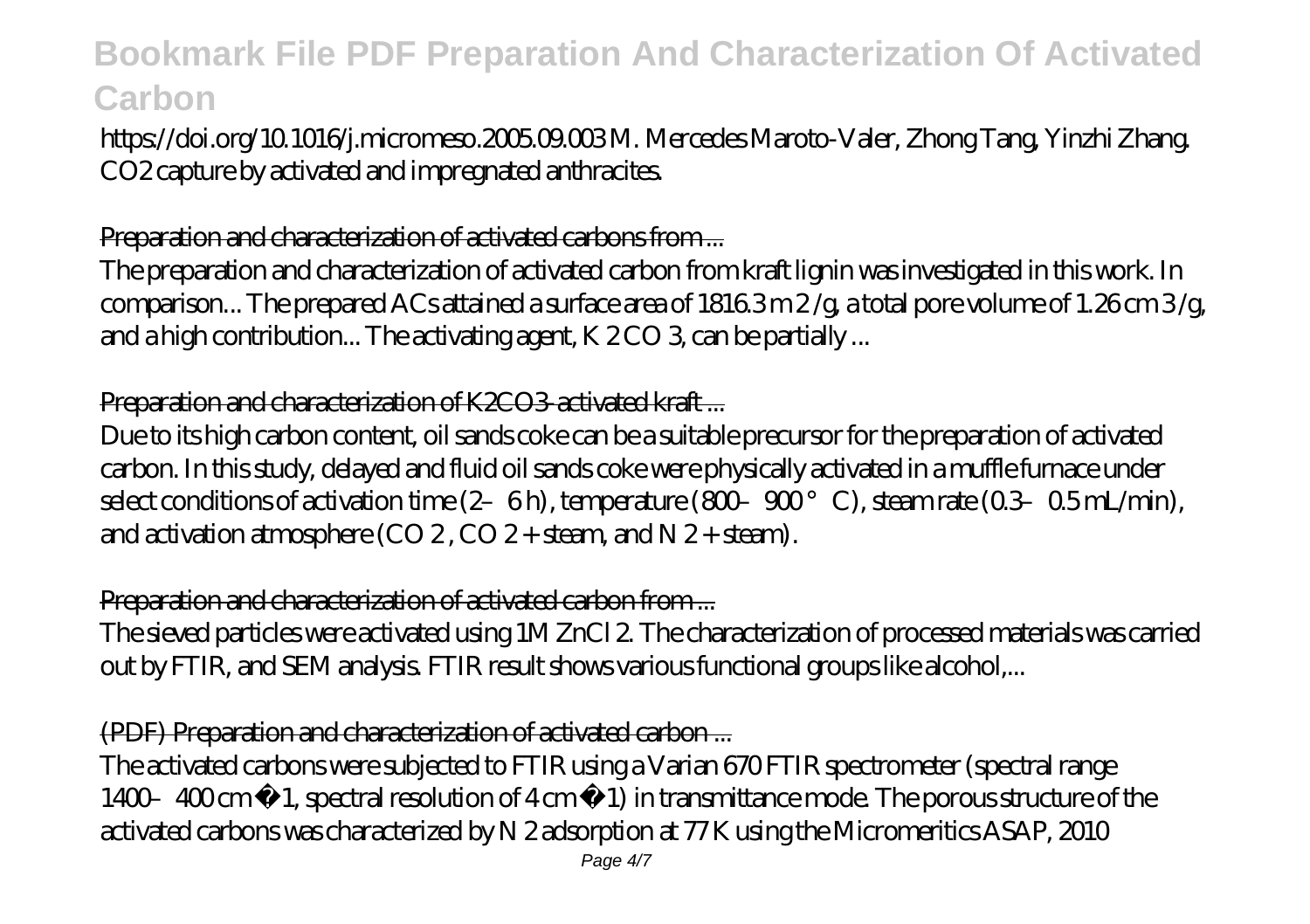https://doi.org/10.1016/j.micromeso.2005.09.003 M. Mercedes Maroto-Valer, Zhong Tang, Yinzhi Zhang. CO2 capture by activated and impregnated anthracites.

## Preparation and characterization of activated carbons from ...

The preparation and characterization of activated carbon from kraft lignin was investigated in this work. In comparison... The prepared ACs attained a surface area of  $1816.3$  m  $2$ /g, a total pore volume of 1.26 cm  $3$ /g, and a high contribution... The activating agent, K 2 CO 3, can be partially ...

## Preparation and characterization of K2CO3-activated kraft...

Due to its high carbon content, oil sands coke can be a suitable precursor for the preparation of activated carbon. In this study, delayed and fluid oil sands coke were physically activated in a muffle furnace under select conditions of activation time  $(2-6 h)$ , temperature  $(800-900^{\circ} C)$ , steam rate  $(0.3-0.5 mL/min)$ , and activation atmosphere (CO 2, CO 2 + steam, and  $N$  2 + steam).

# Preparation and characterization of activated carbon from ...

The sieved particles were activated using 1M ZnCl 2. The characterization of processed materials was carried out by FTIR, and SEM analysis. FTIR result shows various functional groups like alcohol,...

## (PDF) Preparation and characterization of activated carbon ...

The activated carbons were subjected to FTIR using a Varian 670 FTIR spectrometer (spectral range 1400–400 cm −1, spectral resolution of 4 cm −1) in transmittance mode. The porous structure of the activated carbons was characterized by N 2 adsorption at 77 K using the Micromeritics ASAP, 2010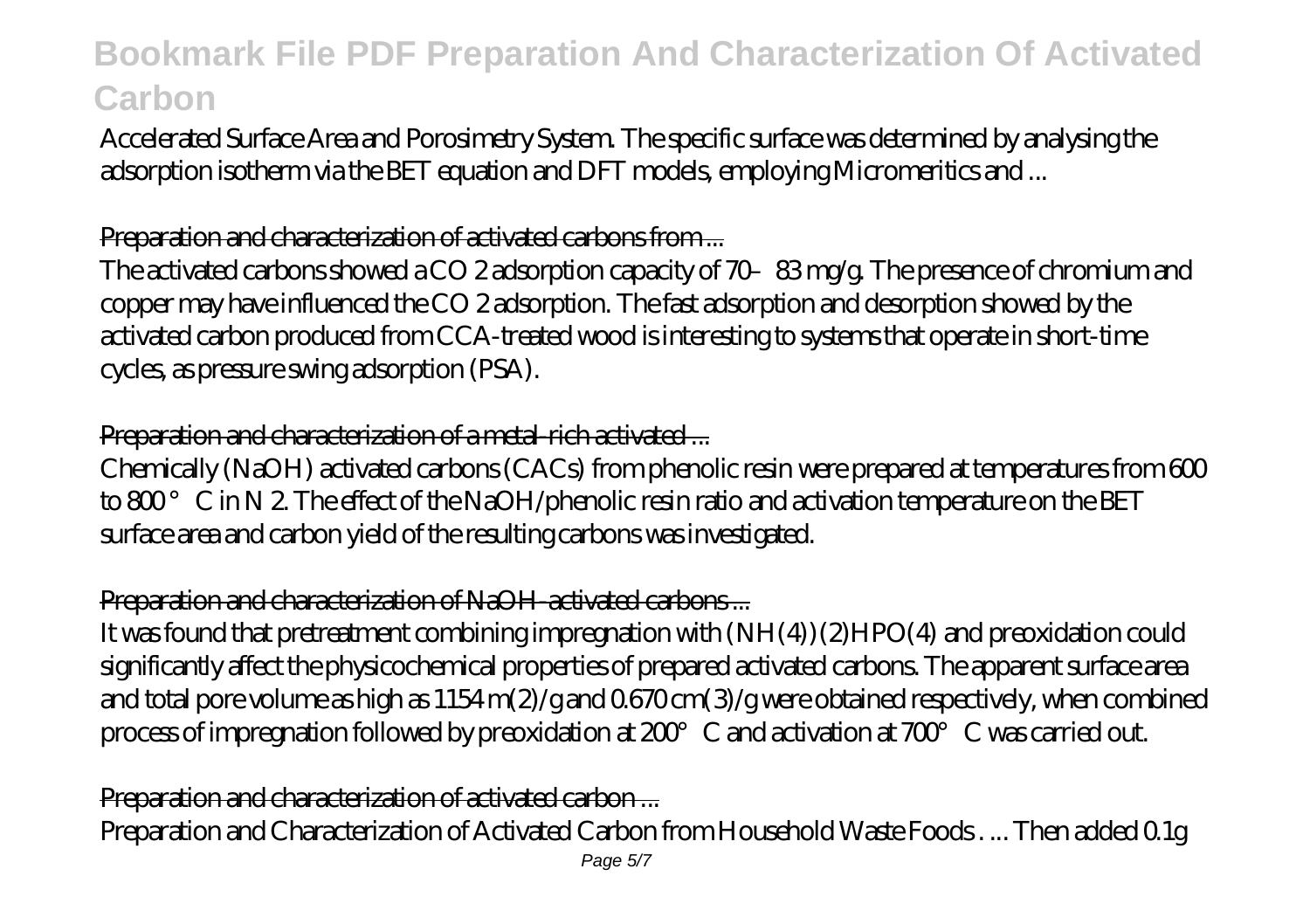Accelerated Surface Area and Porosimetry System. The specific surface was determined by analysing the adsorption isotherm via the BET equation and DFT models, employing Micromeritics and ...

### Preparation and characterization of activated carbons from ...

The activated carbons showed a CO 2 adsorption capacity of 70–83 mg/g. The presence of chromium and copper may have influenced the CO 2 adsorption. The fast adsorption and desorption showed by the activated carbon produced from CCA-treated wood is interesting to systems that operate in short-time cycles, as pressure swing adsorption (PSA).

#### Preparation and characterization of a metal-rich activated ...

Chemically (NaOH) activated carbons (CACs) from phenolic resin were prepared at temperatures from  $600$ to 800° C in N 2. The effect of the NaOH/phenolic resin ratio and activation temperature on the BET surface area and carbon yield of the resulting carbons was investigated.

## Preparation and characterization of NaOH-activated carbons ...

It was found that pretreatment combining impregnation with (NH(4))(2)HPO(4) and preoxidation could significantly affect the physicochemical properties of prepared activated carbons. The apparent surface area and total pore volume as high as 1154 m(2)/g and 0.670 cm(3)/g were obtained respectively, when combined process of impregnation followed by preoxidation at 200°C and activation at 700°C was carried out.

Preparation and characterization of activated carbon ... Preparation and Characterization of Activated Carbon from Household Waste Foods . ... Then added 0.1g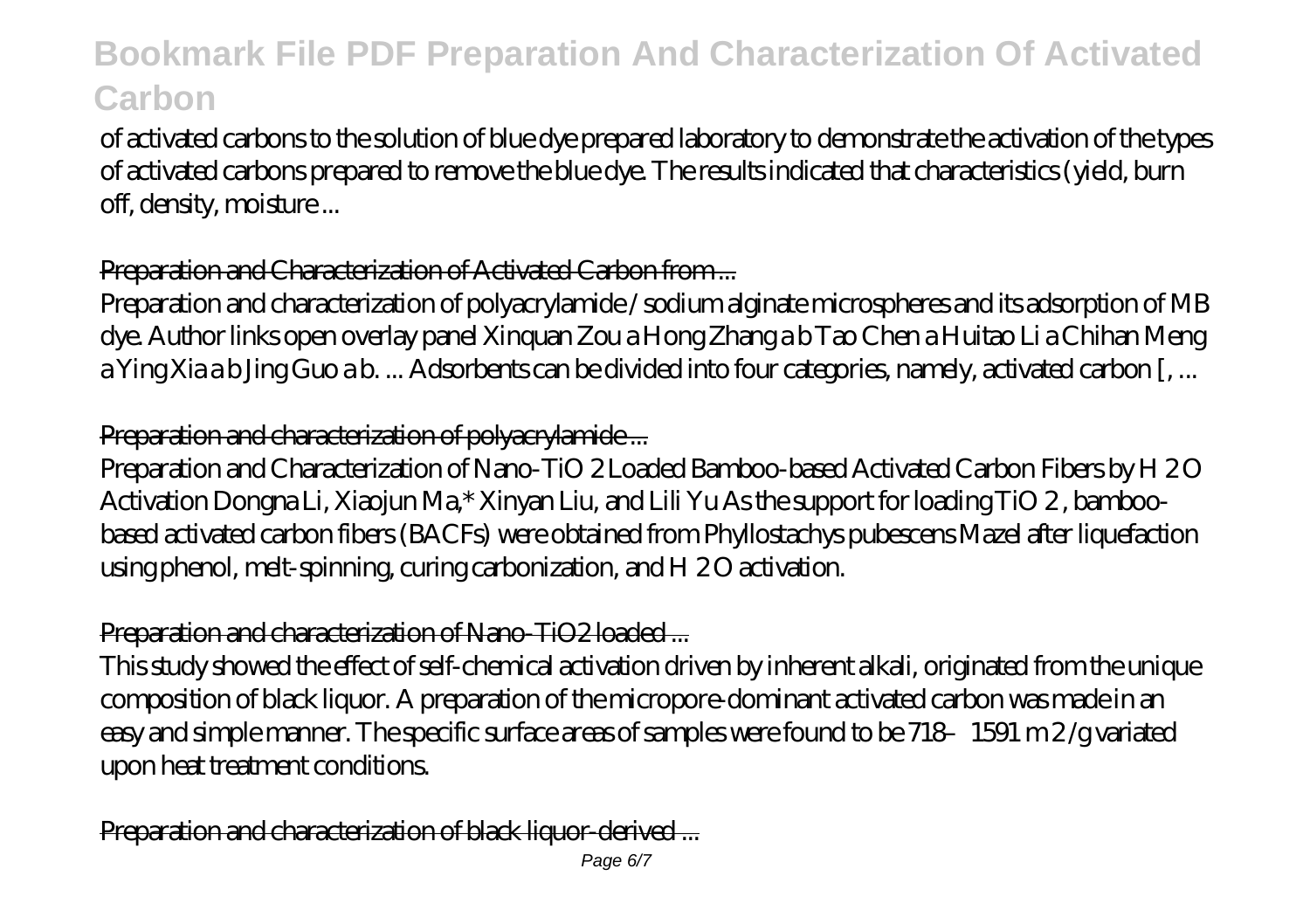of activated carbons to the solution of blue dye prepared laboratory to demonstrate the activation of the types of activated carbons prepared to remove the blue dye. The results indicated that characteristics (yield, burn off, density, moisture ...

# Preparation and Characterization of Activated Carbon from ...

Preparation and characterization of polyacrylamide / sodium alginate microspheres and its adsorption of MB dye. Author links open overlay panel Xinquan Zou a Hong Zhang a b Tao Chen a Huitao Li a Chihan Meng a Ying Xia a b Jing Guo a b. ... Adsorbents can be divided into four categories, namely, activated carbon [, ...

# Preparation and characterization of polyacrylamide ...

Preparation and Characterization of Nano-TiO 2 Loaded Bamboo-based Activated Carbon Fibers by H 2 O Activation Dongna Li, Xiaojun Ma,\* Xinyan Liu, and Lili Yu As the support for loading TiO 2 , bamboobased activated carbon fibers (BACFs) were obtained from Phyllostachys pubescens Mazel after liquefaction using phenol, melt-spinning, curing carbonization, and H 20 activation.

# Preparation and characterization of Nano-TiO2 loaded ...

This study showed the effect of self-chemical activation driven by inherent alkali, originated from the unique composition of black liquor. A preparation of the micropore-dominant activated carbon was made in an easy and simple manner. The specific surface areas of samples were found to be 718–1591 m 2 /g variated upon heat treatment conditions.

Preparation and characterization of black liquor-derived ...